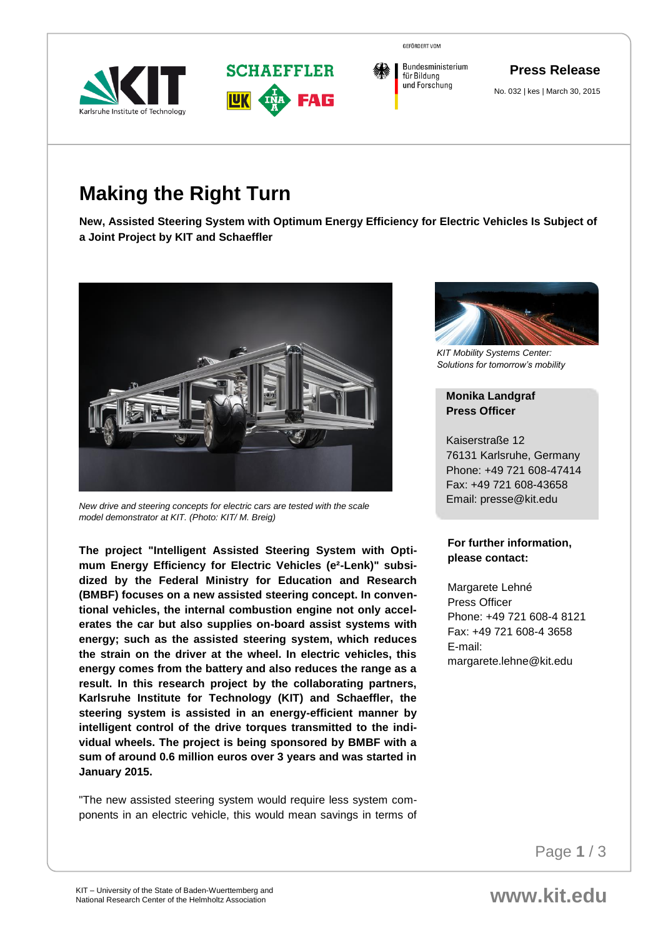**GEFÖRDERT VOM** 





Bundesministerium für Bildung und Forschung

## **Press Release**

No. 032 | kes | March 30, 2015

# **Making the Right Turn**

**New, Assisted Steering System with Optimum Energy Efficiency for Electric Vehicles Is Subject of a Joint Project by KIT and Schaeffler**



*New drive and steering concepts for electric cars are tested with the scale model demonstrator at KIT. (Photo: KIT/ M. Breig)*

**The project "Intelligent Assisted Steering System with Optimum Energy Efficiency for Electric Vehicles (e²-Lenk)" subsidized by the Federal Ministry for Education and Research (BMBF) focuses on a new assisted steering concept. In conventional vehicles, the internal combustion engine not only accelerates the car but also supplies on-board assist systems with energy; such as the assisted steering system, which reduces the strain on the driver at the wheel. In electric vehicles, this energy comes from the battery and also reduces the range as a result. In this research project by the collaborating partners, Karlsruhe Institute for Technology (KIT) and Schaeffler, the steering system is assisted in an energy-efficient manner by intelligent control of the drive torques transmitted to the individual wheels. The project is being sponsored by BMBF with a sum of around 0.6 million euros over 3 years and was started in January 2015.**

"The new assisted steering system would require less system components in an electric vehicle, this would mean savings in terms of



*KIT Mobility Systems Center: Solutions for tomorrow's mobility*

### **Monika Landgraf Press Officer**

Kaiserstraße 12 76131 Karlsruhe, Germany Phone: +49 721 608-47414 Fax: +49 721 608-43658 Email: presse@kit.edu

### **For further information, please contact:**

Margarete Lehné Press Officer Phone: +49 721 608-4 8121 Fax: +49 721 608-4 3658 E-mail: margarete.lehne@kit.edu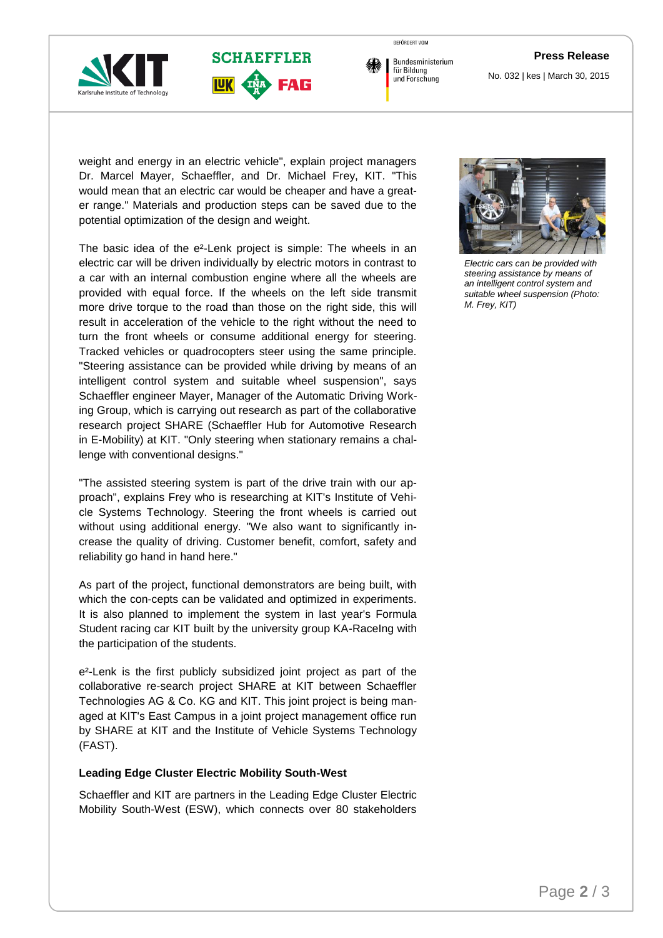GEEÖRDERT VOM



**SCHAFFFLER** 

Bundesministerium für Bildung und Forschung

No. 032 | kes | March 30, 2015

weight and energy in an electric vehicle", explain project managers Dr. Marcel Mayer, Schaeffler, and Dr. Michael Frey, KIT. "This would mean that an electric car would be cheaper and have a greater range." Materials and production steps can be saved due to the potential optimization of the design and weight.

The basic idea of the e<sup>2</sup>-Lenk project is simple: The wheels in an electric car will be driven individually by electric motors in contrast to a car with an internal combustion engine where all the wheels are provided with equal force. If the wheels on the left side transmit more drive torque to the road than those on the right side, this will result in acceleration of the vehicle to the right without the need to turn the front wheels or consume additional energy for steering. Tracked vehicles or quadrocopters steer using the same principle. "Steering assistance can be provided while driving by means of an intelligent control system and suitable wheel suspension", says Schaeffler engineer Mayer, Manager of the Automatic Driving Working Group, which is carrying out research as part of the collaborative research project SHARE (Schaeffler Hub for Automotive Research in E-Mobility) at KIT. "Only steering when stationary remains a challenge with conventional designs."

"The assisted steering system is part of the drive train with our approach", explains Frey who is researching at KIT's Institute of Vehicle Systems Technology. Steering the front wheels is carried out without using additional energy. "We also want to significantly increase the quality of driving. Customer benefit, comfort, safety and reliability go hand in hand here."

As part of the project, functional demonstrators are being built, with which the con-cepts can be validated and optimized in experiments. It is also planned to implement the system in last year's Formula Student racing car KIT built by the university group KA-RaceIng with the participation of the students.

e²-Lenk is the first publicly subsidized joint project as part of the collaborative re-search project SHARE at KIT between Schaeffler Technologies AG & Co. KG and KIT. This joint project is being managed at KIT's East Campus in a joint project management office run by SHARE at KIT and the Institute of Vehicle Systems Technology (FAST).

#### **Leading Edge Cluster Electric Mobility South-West**

Schaeffler and KIT are partners in the Leading Edge Cluster Electric Mobility South-West (ESW), which connects over 80 stakeholders



*Electric cars can be provided with steering assistance by means of an intelligent control system and suitable wheel suspension (Photo: M. Frey, KIT)*